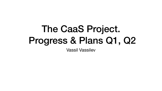## The CaaS Project. Progress & Plans Q1, Q2 Vassil Vassilev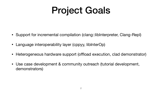# Project Goals

- Support for incremental compilation (clang::libInterpreter, Clang-Repl)
- Language interoperability layer (cppyy, libInterOp)
- Heterogeneous hardware support (offload execution, clad demonstrator)
- Use case development & community outreach (tutorial development, demonstrators)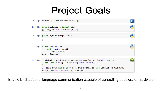# Project Goals

| In $[1]:$ struct S { double val = 1.;                                                                                         |
|-------------------------------------------------------------------------------------------------------------------------------|
| In [2]: from libInterop import std<br>python $vec = std.vector(S)$                                                            |
| In $[3]:$ print(python_vec[0].val)                                                                                            |
|                                                                                                                               |
| In $[4]$ : class Derived(S)<br>def __init (self):<br>$self.val = 0$<br>$res = Derived()$                                      |
| In [5]: global void sum array(in<br>for (int i = 0; i < n; i+<br>// Init N=1M and $x[i] = 1.f$<br>sum array<<<1, 1>>>(N, x, & |

Enable bi-directional language communication capable of controlling accelerator hardware



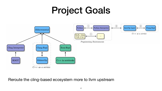## Project Goals





Reroute the cling-based ecosystem more to llvm upstream

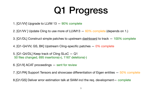# Q1 Progress

- 1. [Q1/VV] Upgrade to LLVM 13 90% complete
- 2. [Q1/VV ] Update Cling to use more of LLVM13 60% complete (depends on 1.)
- 3. [Q1/DL] Construct simple patches to upstream [dashboard](https://docs.google.com/spreadsheets/d/1BfQc4lzUFo3p162PJkA3InwiqVgRAbVQSvc0fNVA3n0/edit?usp=sharing) to track  $-100\%$  complete
- 4. [Q1-Q4/VV, GS, BK] Upstream Cling-specific patches 0% complete
- 5. [Q1-Q4/DL] Keep track of Cling SLoC Q1 50 files changed, 695 insertions(+), 1167 deletions(-)
- 6. [Q1/II] ACAT proceedings sent for review
- 7. [Q1/PA] Support Tensors and showcase differentiation of Eigen entities 50% complete
- 8.[Q1/GS] Deliver error estimation talk at SIAM incl the req. development— complete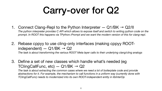# Carry-over for Q2

*The python interpreter provides C API which allows to expose itself and switch to writing python code on the*  prompt. In ROOT this happens via TPython::Prompt and we want the modern version of this for clang-repl.

The task is about extracting the common cases where we need a lot of boilerplate code and provide *abstractions for it. For example, the mechanism to call functions in a uniform way (currently done with* 

*The task is about transforming the various ROOT Meta layer calls to their underlying clang/cling analogs* 

- 1. Connect Clang-Repl to the Python Interpreter  $-$  Q1/BK  $\rightarrow$  Q2/II
- 2. Rebase cppyy to use cling-only interfaces (making cppyy ROOTindependent) —  $Q1/BK \rightarrow Q2$
- 3. Define a set of new classes which handle what's needed (eg TClingCallFunc,  $etc$ ) — Q1/BK  $\rightarrow$  Q2 *TClingCallFunc) needs to modernized into its own ROOT-independent entity in libInterOp*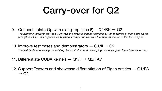# Carry-over for Q2

## 9. Connect libinterOp with clang-repl (see 6)  $-$  Q1/BK  $\rightarrow$  Q2 *The python interpreter provides C API which allows to expose itself and switch to writing python code on the prompt. In ROOT this happens via TPython::Prompt and we want the modern version of this for clang-repl.*

- 10. Improve test cases and demonstrators  $-$  Q1/II  $\rightarrow$  Q2
- 11. Differentiate CUDA kernels  $Q1/II \rightarrow Q2/PA$ ?
- $\rightarrow$  Q2

*The task is about updating the existing demonstrators and developing new ones given the advances in Clad.* 

12. Support Tensors and showcase differentiation of Eigen entities — Q1/PA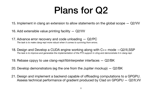## Plans for Q2

- 15. Implement in clang an extension to allow statements on the global scope Q2/VV
- 16. Add extensible value printing facility Q2/VV
- 17. Advance error recovery and code unloading Q2/PC *The task is to make clang-repl more robust when it comes to surviving from errors.*
- 18. Design and Develop a CUDA engine working along with C++ mode —Q2/II,SSP *The task is to improve and generalize the implementation of the PTX support in cling and demonstrate it in clang-repl.*
- 19. Rebase cppyy to use clang-repl/libInterpreter interfaces Q2/BK
- 20. Develop demonstrators (eg the one from the Jupiter mockup) Q2/BK
- 

21. Design and implement a backend capable of offloading computations to a GPGPU. Assess technical performance of gradient produced by Clad on GPGPU — Q2/II,VV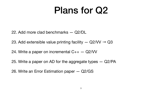## Plans for Q2

- 22. Add more clad benchmarks Q2/DL
- 23. Add extensible value printing facility  $-$  Q2/VV  $\rightarrow$  Q3
- 24. Write a paper on incremental C++ Q2/VV
- 25. Write a paper on AD for the aggregate types Q2/PA
- 26. Write an Error Estimation paper Q2/GS
-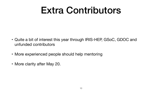## Extra Contributors

- Quite a bit of interest this year through IRIS-HEP, GSoC, GDOC and unfunded contributors
- More experienced people should help mentoring
- More clarity after May 20.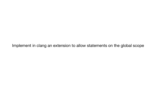Implement in clang an extension to allow statements on the global scope